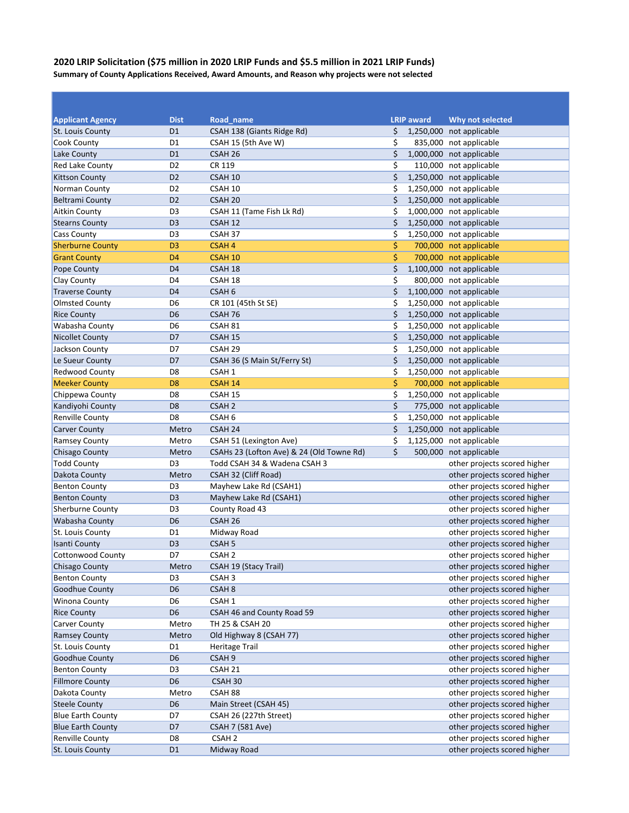## **2020 LRIP Solicitation (\$75 million in 2020 LRIP Funds and \$5.5 million in 2021 LRIP Funds) Summary of County Applications Received, Award Amounts, and Reason why projects were not selected**

| <b>Applicant Agency</b>  | <b>Dist</b>    | Road name                                 | <b>LRIP award</b> | <b>Why not selected</b>      |
|--------------------------|----------------|-------------------------------------------|-------------------|------------------------------|
| St. Louis County         | D <sub>1</sub> | CSAH 138 (Giants Ridge Rd)                | \$                | 1,250,000 not applicable     |
| <b>Cook County</b>       | D <sub>1</sub> | CSAH 15 (5th Ave W)                       | \$                | 835,000 not applicable       |
| Lake County              | D <sub>1</sub> | CSAH <sub>26</sub>                        | \$                | 1,000,000 not applicable     |
| <b>Red Lake County</b>   | D <sub>2</sub> | CR 119                                    | \$                | 110,000 not applicable       |
| <b>Kittson County</b>    | D <sub>2</sub> | CSAH 10                                   | \$                | 1,250,000 not applicable     |
| Norman County            | D <sub>2</sub> | CSAH 10                                   | \$                | 1,250,000 not applicable     |
| <b>Beltrami County</b>   | D <sub>2</sub> | CSAH <sub>20</sub>                        | \$                | 1,250,000 not applicable     |
| <b>Aitkin County</b>     | D <sub>3</sub> | CSAH 11 (Tame Fish Lk Rd)                 | \$                | 1,000,000 not applicable     |
| <b>Stearns County</b>    | D <sub>3</sub> | CSAH 12                                   | \$                | 1,250,000 not applicable     |
| <b>Cass County</b>       | D <sub>3</sub> | CSAH 37                                   | \$                | 1,250,000 not applicable     |
| <b>Sherburne County</b>  | D <sub>3</sub> | <b>CSAH4</b>                              | \$                | 700,000 not applicable       |
| <b>Grant County</b>      | D <sub>4</sub> | CSAH <sub>10</sub>                        | \$                | 700,000 not applicable       |
| Pope County              | D <sub>4</sub> | CSAH 18                                   | \$                | 1,100,000 not applicable     |
| <b>Clay County</b>       | D <sub>4</sub> | CSAH 18                                   | \$                | 800,000 not applicable       |
| <b>Traverse County</b>   | D <sub>4</sub> | CSAH <sub>6</sub>                         | \$                | 1,100,000 not applicable     |
| <b>Olmsted County</b>    | D <sub>6</sub> | CR 101 (45th St SE)                       | \$                | 1,250,000 not applicable     |
| <b>Rice County</b>       | D <sub>6</sub> | CSAH 76                                   | \$                | 1,250,000 not applicable     |
| Wabasha County           | D <sub>6</sub> | CSAH 81                                   | \$                | 1,250,000 not applicable     |
| <b>Nicollet County</b>   | D7             | CSAH 15                                   | \$                | 1,250,000 not applicable     |
| Jackson County           | D7             | CSAH <sub>29</sub>                        | \$                | 1,250,000 not applicable     |
| Le Sueur County          | D7             | CSAH 36 (S Main St/Ferry St)              | \$                | 1,250,000 not applicable     |
| <b>Redwood County</b>    | D <sub>8</sub> | CSAH 1                                    | \$                | 1,250,000 not applicable     |
| <b>Meeker County</b>     | D <sub>8</sub> | CSAH 14                                   | \$                | 700,000 not applicable       |
| Chippewa County          | D <sub>8</sub> | CSAH 15                                   | \$                | 1,250,000 not applicable     |
| Kandiyohi County         | D <sub>8</sub> | CSAH <sub>2</sub>                         | \$                | 775,000 not applicable       |
| <b>Renville County</b>   | D <sub>8</sub> | CSAH <sub>6</sub>                         | \$                | 1,250,000 not applicable     |
| <b>Carver County</b>     | Metro          | CSAH 24                                   | \$                | 1,250,000 not applicable     |
| <b>Ramsey County</b>     | Metro          | CSAH 51 (Lexington Ave)                   | \$                | 1,125,000 not applicable     |
| <b>Chisago County</b>    | Metro          | CSAHs 23 (Lofton Ave) & 24 (Old Towne Rd) | \$                | 500,000 not applicable       |
| <b>Todd County</b>       | D <sub>3</sub> | Todd CSAH 34 & Wadena CSAH 3              |                   | other projects scored higher |
| Dakota County            | Metro          | CSAH 32 (Cliff Road)                      |                   | other projects scored higher |
| <b>Benton County</b>     | D <sub>3</sub> | Mayhew Lake Rd (CSAH1)                    |                   | other projects scored higher |
| <b>Benton County</b>     | D <sub>3</sub> | Mayhew Lake Rd (CSAH1)                    |                   | other projects scored higher |
| <b>Sherburne County</b>  | D <sub>3</sub> | County Road 43                            |                   | other projects scored higher |
| Wabasha County           | D <sub>6</sub> | CSAH 26                                   |                   | other projects scored higher |
| St. Louis County         | D <sub>1</sub> | Midway Road                               |                   | other projects scored higher |
| <b>Isanti County</b>     | D <sub>3</sub> | CSAH <sub>5</sub>                         |                   | other projects scored higher |
| Cottonwood County        | D7             | CSAH <sub>2</sub>                         |                   | other projects scored higher |
| Chisago County           | Metro          | CSAH 19 (Stacy Trail)                     |                   | other projects scored higher |
| <b>Benton County</b>     | D <sub>3</sub> | CSAH <sub>3</sub>                         |                   | other projects scored higher |
| Goodhue County           | D <sub>6</sub> | CSAH <sub>8</sub>                         |                   | other projects scored higher |
| <b>Winona County</b>     | D <sub>6</sub> | CSAH 1                                    |                   | other projects scored higher |
| <b>Rice County</b>       | D <sub>6</sub> | CSAH 46 and County Road 59                |                   | other projects scored higher |
| <b>Carver County</b>     | Metro          | TH 25 & CSAH 20                           |                   | other projects scored higher |
| <b>Ramsey County</b>     | Metro          | Old Highway 8 (CSAH 77)                   |                   | other projects scored higher |
| St. Louis County         | D <sub>1</sub> | <b>Heritage Trail</b>                     |                   | other projects scored higher |
| Goodhue County           | D <sub>6</sub> | CSAH <sub>9</sub>                         |                   | other projects scored higher |
| <b>Benton County</b>     | D <sub>3</sub> | CSAH 21                                   |                   | other projects scored higher |
| <b>Fillmore County</b>   | D <sub>6</sub> | CSAH 30                                   |                   | other projects scored higher |
| Dakota County            | Metro          | CSAH 88                                   |                   | other projects scored higher |
| <b>Steele County</b>     | D <sub>6</sub> | Main Street (CSAH 45)                     |                   | other projects scored higher |
| <b>Blue Earth County</b> | D7             | CSAH 26 (227th Street)                    |                   | other projects scored higher |
| <b>Blue Earth County</b> | D7             | <b>CSAH 7 (581 Ave)</b>                   |                   | other projects scored higher |
| <b>Renville County</b>   | D <sub>8</sub> | CSAH <sub>2</sub>                         |                   | other projects scored higher |
| St. Louis County         | D <sub>1</sub> | Midway Road                               |                   | other projects scored higher |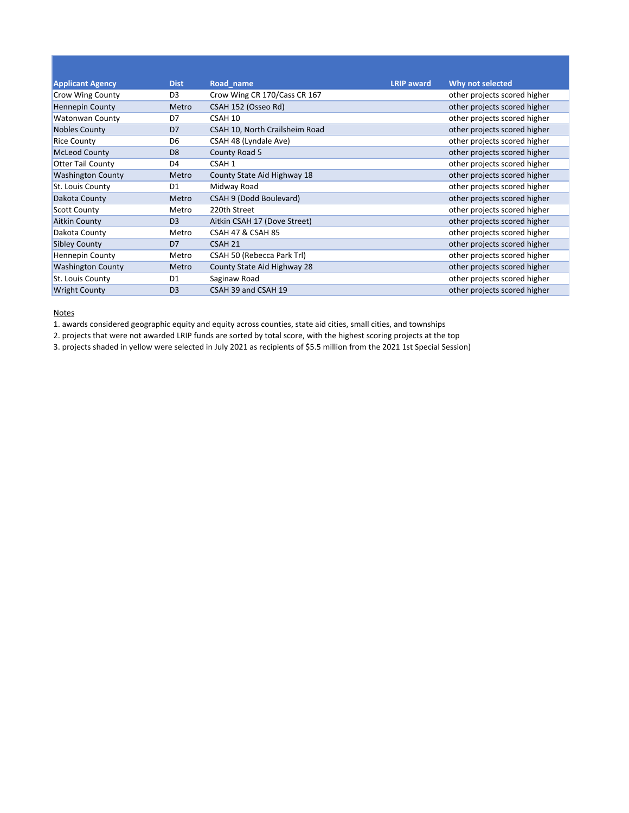| <b>Applicant Agency</b>  | <b>Dist</b>    | Road name                      | <b>LRIP</b> award | Why not selected             |
|--------------------------|----------------|--------------------------------|-------------------|------------------------------|
| Crow Wing County         | D <sub>3</sub> | Crow Wing CR 170/Cass CR 167   |                   | other projects scored higher |
| <b>Hennepin County</b>   | Metro          | CSAH 152 (Osseo Rd)            |                   | other projects scored higher |
| <b>Watonwan County</b>   | D7             | CSAH 10                        |                   | other projects scored higher |
| Nobles County            | D <sub>7</sub> | CSAH 10, North Crailsheim Road |                   | other projects scored higher |
| <b>Rice County</b>       | D <sub>6</sub> | CSAH 48 (Lyndale Ave)          |                   | other projects scored higher |
| <b>McLeod County</b>     | D <sub>8</sub> | County Road 5                  |                   | other projects scored higher |
| <b>Otter Tail County</b> | D <sub>4</sub> | CSAH 1                         |                   | other projects scored higher |
| <b>Washington County</b> | Metro          | County State Aid Highway 18    |                   | other projects scored higher |
| St. Louis County         | D1             | Midway Road                    |                   | other projects scored higher |
| Dakota County            | Metro          | CSAH 9 (Dodd Boulevard)        |                   | other projects scored higher |
| <b>Scott County</b>      | Metro          | 220th Street                   |                   | other projects scored higher |
| <b>Aitkin County</b>     | D <sub>3</sub> | Aitkin CSAH 17 (Dove Street)   |                   | other projects scored higher |
| Dakota County            | Metro          | <b>CSAH 47 &amp; CSAH 85</b>   |                   | other projects scored higher |
| <b>Sibley County</b>     | D <sub>7</sub> | CSAH <sub>21</sub>             |                   | other projects scored higher |
| <b>Hennepin County</b>   | Metro          | CSAH 50 (Rebecca Park Trl)     |                   | other projects scored higher |
| <b>Washington County</b> | Metro          | County State Aid Highway 28    |                   | other projects scored higher |
| St. Louis County         | D <sub>1</sub> | Saginaw Road                   |                   | other projects scored higher |
| <b>Wright County</b>     | D <sub>3</sub> | CSAH 39 and CSAH 19            |                   | other projects scored higher |

1. awards considered geographic equity and equity across counties, state aid cities, small cities, and townships

2. projects that were not awarded LRIP funds are sorted by total score, with the highest scoring projects at the top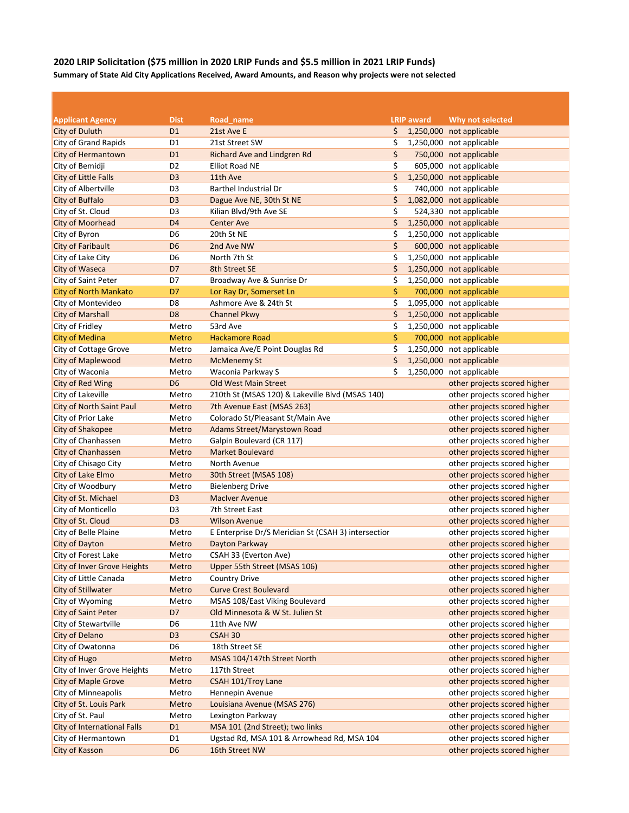# **2020 LRIP Solicitation (\$75 million in 2020 LRIP Funds and \$5.5 million in 2021 LRIP Funds) Summary of State Aid City Applications Received, Award Amounts, and Reason why projects were not selected**

| <b>Applicant Agency</b>            | <b>Dist</b>    | Road name                                           | <b>LRIP</b> award | Why not selected             |
|------------------------------------|----------------|-----------------------------------------------------|-------------------|------------------------------|
| <b>City of Duluth</b>              | D <sub>1</sub> | 21st Ave E                                          | \$                | 1,250,000 not applicable     |
| City of Grand Rapids               | D <sub>1</sub> | 21st Street SW                                      | \$                | 1,250,000 not applicable     |
| City of Hermantown                 | D <sub>1</sub> | Richard Ave and Lindgren Rd                         | \$                | 750,000 not applicable       |
| City of Bemidji                    | D <sub>2</sub> | <b>Elliot Road NE</b>                               | \$                | 605,000 not applicable       |
| City of Little Falls               | D <sub>3</sub> | 11th Ave                                            | \$                | 1,250,000 not applicable     |
| City of Albertville                | D <sub>3</sub> | Barthel Industrial Dr                               | \$                | 740,000 not applicable       |
| <b>City of Buffalo</b>             | D <sub>3</sub> | Dague Ave NE, 30th St NE                            | \$                | 1,082,000 not applicable     |
| City of St. Cloud                  | D <sub>3</sub> | Kilian Blvd/9th Ave SE                              | \$                | 524,330 not applicable       |
| <b>City of Moorhead</b>            | D <sub>4</sub> | <b>Center Ave</b>                                   | \$                | 1,250,000 not applicable     |
| City of Byron                      | D6             | 20th St NE                                          | \$                | 1,250,000 not applicable     |
| <b>City of Faribault</b>           | D <sub>6</sub> | 2nd Ave NW                                          | \$                | 600,000 not applicable       |
| City of Lake City                  | D <sub>6</sub> | North 7th St                                        | \$                | 1,250,000 not applicable     |
| <b>City of Waseca</b>              | D7             | 8th Street SE                                       | \$                | 1,250,000 not applicable     |
| <b>City of Saint Peter</b>         | D7             | Broadway Ave & Sunrise Dr                           | \$                | 1,250,000 not applicable     |
| <b>City of North Mankato</b>       | D7             | Lor Ray Dr, Somerset Ln                             | \$                | 700,000 not applicable       |
| City of Montevideo                 | D <sub>8</sub> | Ashmore Ave & 24th St                               | \$                | 1,095,000 not applicable     |
| <b>City of Marshall</b>            | D <sub>8</sub> | <b>Channel Pkwy</b>                                 | \$                | 1,250,000 not applicable     |
| City of Fridley                    | Metro          | 53rd Ave                                            | \$                | 1,250,000 not applicable     |
| <b>City of Medina</b>              | <b>Metro</b>   | <b>Hackamore Road</b>                               | \$                | 700,000 not applicable       |
| City of Cottage Grove              | Metro          | Jamaica Ave/E Point Douglas Rd                      | \$                | 1,250,000 not applicable     |
| <b>City of Maplewood</b>           | Metro          | <b>McMenemy St</b>                                  | \$                | 1,250,000 not applicable     |
| City of Waconia                    | Metro          | Waconia Parkway S                                   | \$                | 1,250,000 not applicable     |
| <b>City of Red Wing</b>            | D <sub>6</sub> | <b>Old West Main Street</b>                         |                   | other projects scored higher |
| City of Lakeville                  | Metro          | 210th St (MSAS 120) & Lakeville Blvd (MSAS 140)     |                   | other projects scored higher |
| <b>City of North Saint Paul</b>    | Metro          | 7th Avenue East (MSAS 263)                          |                   | other projects scored higher |
| City of Prior Lake                 | Metro          | Colorado St/Pleasant St/Main Ave                    |                   | other projects scored higher |
| <b>City of Shakopee</b>            | Metro          | Adams Street/Marystown Road                         |                   | other projects scored higher |
| City of Chanhassen                 | Metro          | Galpin Boulevard (CR 117)                           |                   | other projects scored higher |
| City of Chanhassen                 | Metro          | <b>Market Boulevard</b>                             |                   | other projects scored higher |
| City of Chisago City               | Metro          | North Avenue                                        |                   | other projects scored higher |
| City of Lake Elmo                  | Metro          | 30th Street (MSAS 108)                              |                   | other projects scored higher |
| City of Woodbury                   | Metro          | <b>Bielenberg Drive</b>                             |                   | other projects scored higher |
| City of St. Michael                | D <sub>3</sub> | <b>MacIver Avenue</b>                               |                   | other projects scored higher |
| City of Monticello                 | D <sub>3</sub> | 7th Street East                                     |                   | other projects scored higher |
| City of St. Cloud                  | D <sub>3</sub> | <b>Wilson Avenue</b>                                |                   | other projects scored higher |
| City of Belle Plaine               | Metro          | E Enterprise Dr/S Meridian St (CSAH 3) intersection |                   | other projects scored higher |
| <b>City of Dayton</b>              | Metro          | Dayton Parkway                                      |                   | other projects scored higher |
| City of Forest Lake                | Metro          | CSAH 33 (Everton Ave)                               |                   | other projects scored higher |
| <b>City of Inver Grove Heights</b> | Metro          | Upper 55th Street (MSAS 106)                        |                   | other projects scored higher |
| City of Little Canada              | Metro          | <b>Country Drive</b>                                |                   | other projects scored higher |
| <b>City of Stillwater</b>          | Metro          | <b>Curve Crest Boulevard</b>                        |                   | other projects scored higher |
| City of Wyoming                    | Metro          | MSAS 108/East Viking Boulevard                      |                   | other projects scored higher |
| <b>City of Saint Peter</b>         | D7             | Old Minnesota & W St. Julien St                     |                   | other projects scored higher |
| City of Stewartville               | D <sub>6</sub> | 11th Ave NW                                         |                   | other projects scored higher |
| City of Delano                     | D <sub>3</sub> | CSAH 30                                             |                   | other projects scored higher |
| City of Owatonna                   | D6             | 18th Street SE                                      |                   | other projects scored higher |
| <b>City of Hugo</b>                | Metro          | MSAS 104/147th Street North                         |                   | other projects scored higher |
| City of Inver Grove Heights        | Metro          | 117th Street                                        |                   | other projects scored higher |
| <b>City of Maple Grove</b>         | Metro          | CSAH 101/Troy Lane                                  |                   | other projects scored higher |
| City of Minneapolis                | Metro          | Hennepin Avenue                                     |                   | other projects scored higher |
| City of St. Louis Park             | Metro          | Louisiana Avenue (MSAS 276)                         |                   | other projects scored higher |
| City of St. Paul                   | Metro          | Lexington Parkway                                   |                   | other projects scored higher |
| <b>City of International Falls</b> | D <sub>1</sub> | MSA 101 (2nd Street); two links                     |                   | other projects scored higher |
| City of Hermantown                 | D1             | Ugstad Rd, MSA 101 & Arrowhead Rd, MSA 104          |                   | other projects scored higher |
| <b>City of Kasson</b>              | D <sub>6</sub> | 16th Street NW                                      |                   | other projects scored higher |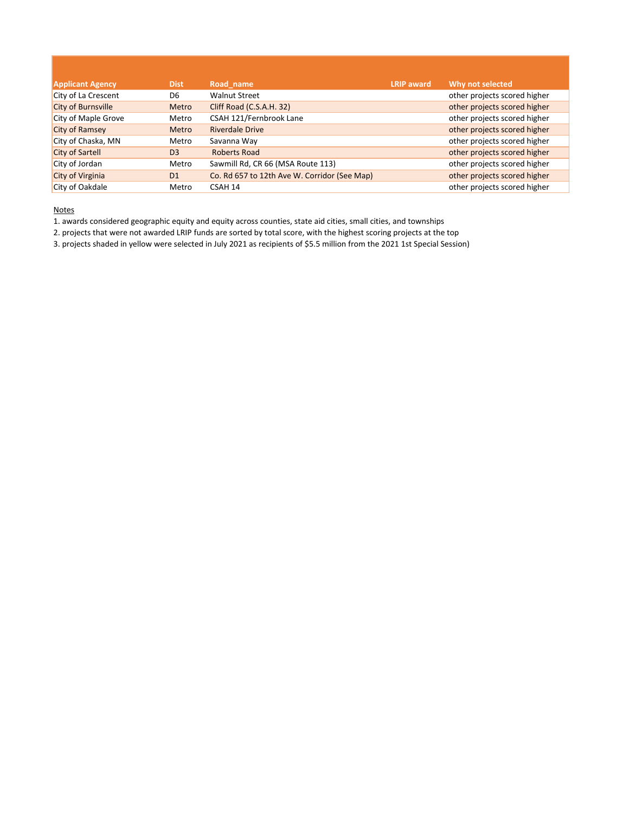| <b>Applicant Agency</b> | <b>Dist</b>    | Road name                                    | <b>LRIP</b> award | Why not selected             |
|-------------------------|----------------|----------------------------------------------|-------------------|------------------------------|
| City of La Crescent     | D6             | <b>Walnut Street</b>                         |                   | other projects scored higher |
| City of Burnsville      | Metro          | Cliff Road (C.S.A.H. 32)                     |                   | other projects scored higher |
| City of Maple Grove     | Metro          | CSAH 121/Fernbrook Lane                      |                   | other projects scored higher |
| <b>City of Ramsey</b>   | Metro          | <b>Riverdale Drive</b>                       |                   | other projects scored higher |
| City of Chaska, MN      | Metro          | Savanna Way                                  |                   | other projects scored higher |
| <b>City of Sartell</b>  | D <sub>3</sub> | Roberts Road                                 |                   | other projects scored higher |
| City of Jordan          | Metro          | Sawmill Rd, CR 66 (MSA Route 113)            |                   | other projects scored higher |
| City of Virginia        | D <sub>1</sub> | Co. Rd 657 to 12th Ave W. Corridor (See Map) |                   | other projects scored higher |
| City of Oakdale         | Metro          | CSAH 14                                      |                   | other projects scored higher |

1. awards considered geographic equity and equity across counties, state aid cities, small cities, and townships

2. projects that were not awarded LRIP funds are sorted by total score, with the highest scoring projects at the top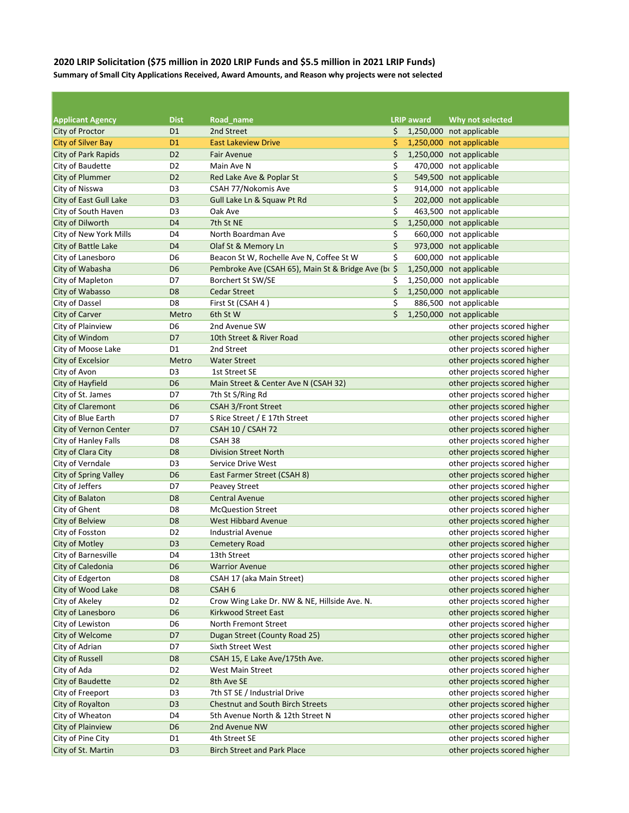## **2020 LRIP Solicitation (\$75 million in 2020 LRIP Funds and \$5.5 million in 2021 LRIP Funds) Summary of Small City Applications Received, Award Amounts, and Reason why projects were not selected**

| <b>Applicant Agency</b>      | <b>Dist</b>    | Road name                                           | <b>LRIP</b> award | Why not selected             |
|------------------------------|----------------|-----------------------------------------------------|-------------------|------------------------------|
| City of Proctor              | D <sub>1</sub> | 2nd Street                                          | \$                | 1,250,000 not applicable     |
| <b>City of Silver Bay</b>    | D <sub>1</sub> | <b>East Lakeview Drive</b>                          | \$                | 1,250,000 not applicable     |
| <b>City of Park Rapids</b>   | D <sub>2</sub> | <b>Fair Avenue</b>                                  | \$                | 1,250,000 not applicable     |
| City of Baudette             | D <sub>2</sub> | Main Ave N                                          | \$                | 470,000 not applicable       |
| <b>City of Plummer</b>       | D <sub>2</sub> | Red Lake Ave & Poplar St                            | \$                | 549,500 not applicable       |
| City of Nisswa               | D <sub>3</sub> | CSAH 77/Nokomis Ave                                 | \$                | 914,000 not applicable       |
| City of East Gull Lake       | D <sub>3</sub> | Gull Lake Ln & Squaw Pt Rd                          | \$                | 202,000 not applicable       |
| City of South Haven          | D <sub>3</sub> | Oak Ave                                             | \$                | 463,500 not applicable       |
| City of Dilworth             | D <sub>4</sub> | 7th St NE                                           | \$                | 1,250,000 not applicable     |
| City of New York Mills       | D <sub>4</sub> | North Boardman Ave                                  | \$                | 660,000 not applicable       |
| City of Battle Lake          | D <sub>4</sub> | Olaf St & Memory Ln                                 | \$                | 973,000 not applicable       |
| City of Lanesboro            | D <sub>6</sub> | Beacon St W, Rochelle Ave N, Coffee St W            | \$                | 600,000 not applicable       |
| City of Wabasha              | D <sub>6</sub> | Pembroke Ave (CSAH 65), Main St & Bridge Ave (bi \$ |                   | 1,250,000 not applicable     |
| City of Mapleton             | D7             | Borchert St SW/SE                                   | \$                | 1,250,000 not applicable     |
| City of Wabasso              | D <sub>8</sub> | <b>Cedar Street</b>                                 | \$                | 1,250,000 not applicable     |
| <b>City of Dassel</b>        | D <sub>8</sub> | First St (CSAH 4)                                   | \$                | 886,500 not applicable       |
| <b>City of Carver</b>        | Metro          | 6th St W                                            | \$                | 1,250,000 not applicable     |
| City of Plainview            | D <sub>6</sub> | 2nd Avenue SW                                       |                   | other projects scored higher |
| City of Windom               | D7             | 10th Street & River Road                            |                   | other projects scored higher |
| City of Moose Lake           | D1             | 2nd Street                                          |                   | other projects scored higher |
| City of Excelsior            | Metro          | <b>Water Street</b>                                 |                   | other projects scored higher |
| City of Avon                 | D <sub>3</sub> | 1st Street SE                                       |                   | other projects scored higher |
| City of Hayfield             | D <sub>6</sub> | Main Street & Center Ave N (CSAH 32)                |                   | other projects scored higher |
| City of St. James            | D7             | 7th St S/Ring Rd                                    |                   | other projects scored higher |
| <b>City of Claremont</b>     | D <sub>6</sub> | <b>CSAH 3/Front Street</b>                          |                   | other projects scored higher |
| City of Blue Earth           | D7             | S Rice Street / E 17th Street                       |                   | other projects scored higher |
| <b>City of Vernon Center</b> | D7             | <b>CSAH 10 / CSAH 72</b>                            |                   | other projects scored higher |
| City of Hanley Falls         | D <sub>8</sub> | CSAH <sub>38</sub>                                  |                   | other projects scored higher |
| City of Clara City           | D <sub>8</sub> | <b>Division Street North</b>                        |                   | other projects scored higher |
| City of Verndale             | D <sub>3</sub> | Service Drive West                                  |                   | other projects scored higher |
| City of Spring Valley        | D <sub>6</sub> | East Farmer Street (CSAH 8)                         |                   | other projects scored higher |
| City of Jeffers              | D7             | Peavey Street                                       |                   | other projects scored higher |
| <b>City of Balaton</b>       | D <sub>8</sub> | <b>Central Avenue</b>                               |                   | other projects scored higher |
| City of Ghent                | D <sub>8</sub> | <b>McQuestion Street</b>                            |                   | other projects scored higher |
| <b>City of Belview</b>       | D <sub>8</sub> | <b>West Hibbard Avenue</b>                          |                   | other projects scored higher |
| City of Fosston              | D <sub>2</sub> | <b>Industrial Avenue</b>                            |                   | other projects scored higher |
| City of Motley               | D <sub>3</sub> | <b>Cemetery Road</b>                                |                   | other projects scored higher |
| City of Barnesville          | D <sub>4</sub> | 13th Street                                         |                   | other projects scored higher |
| City of Caledonia            | D <sub>6</sub> | <b>Warrior Avenue</b>                               |                   | other projects scored higher |
| City of Edgerton             | D8             | CSAH 17 (aka Main Street)                           |                   | other projects scored higher |
| City of Wood Lake            | D <sub>8</sub> | CSAH <sub>6</sub>                                   |                   | other projects scored higher |
| City of Akeley               | D <sub>2</sub> | Crow Wing Lake Dr. NW & NE, Hillside Ave. N.        |                   | other projects scored higher |
| City of Lanesboro            | D <sub>6</sub> | Kirkwood Street East                                |                   | other projects scored higher |
| City of Lewiston             | D <sub>6</sub> | North Fremont Street                                |                   | other projects scored higher |
| City of Welcome              | D7             | Dugan Street (County Road 25)                       |                   | other projects scored higher |
| City of Adrian               | D7             | Sixth Street West                                   |                   | other projects scored higher |
| <b>City of Russell</b>       | D <sub>8</sub> | CSAH 15, E Lake Ave/175th Ave.                      |                   | other projects scored higher |
| City of Ada                  | D <sub>2</sub> | West Main Street                                    |                   | other projects scored higher |
| <b>City of Baudette</b>      | D <sub>2</sub> | 8th Ave SE                                          |                   | other projects scored higher |
| City of Freeport             | D <sub>3</sub> | 7th ST SE / Industrial Drive                        |                   | other projects scored higher |
| City of Royalton             | D <sub>3</sub> | <b>Chestnut and South Birch Streets</b>             |                   | other projects scored higher |
| City of Wheaton              | D <sub>4</sub> | 5th Avenue North & 12th Street N                    |                   | other projects scored higher |
| <b>City of Plainview</b>     | D <sub>6</sub> | 2nd Avenue NW                                       |                   | other projects scored higher |
| City of Pine City            | D1             | 4th Street SE                                       |                   | other projects scored higher |
| City of St. Martin           | D <sub>3</sub> | <b>Birch Street and Park Place</b>                  |                   | other projects scored higher |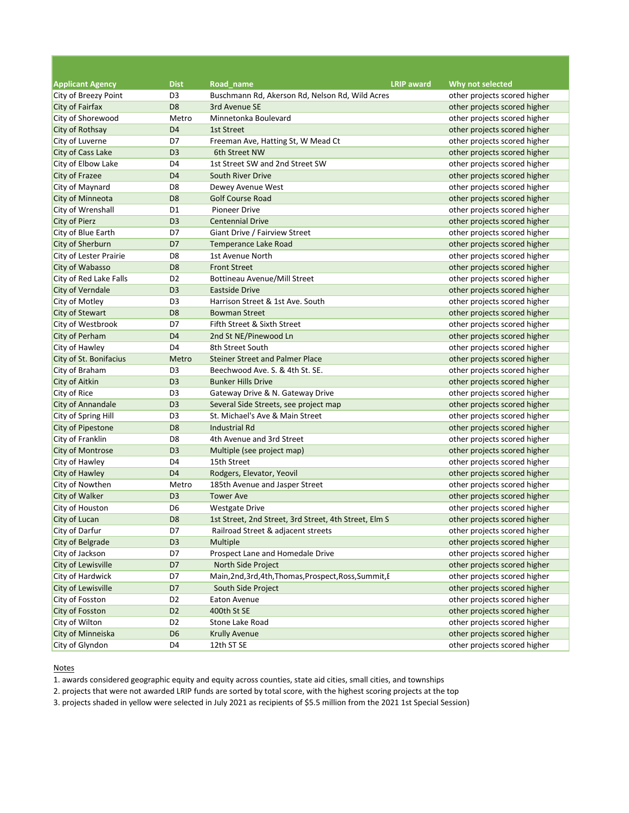| <b>Applicant Agency</b>   | <b>Dist</b>    | Road name                                              | <b>LRIP</b> award | Why not selected             |
|---------------------------|----------------|--------------------------------------------------------|-------------------|------------------------------|
| City of Breezy Point      | D <sub>3</sub> | Buschmann Rd, Akerson Rd, Nelson Rd, Wild Acres        |                   | other projects scored higher |
| City of Fairfax           | D <sub>8</sub> | 3rd Avenue SE                                          |                   | other projects scored higher |
| City of Shorewood         | Metro          | Minnetonka Boulevard                                   |                   | other projects scored higher |
| City of Rothsay           | D <sub>4</sub> | <b>1st Street</b>                                      |                   | other projects scored higher |
| City of Luverne           | D7             | Freeman Ave, Hatting St, W Mead Ct                     |                   | other projects scored higher |
| City of Cass Lake         | D <sub>3</sub> | 6th Street NW                                          |                   | other projects scored higher |
| City of Elbow Lake        | D <sub>4</sub> | 1st Street SW and 2nd Street SW                        |                   | other projects scored higher |
| City of Frazee            | D <sub>4</sub> | South River Drive                                      |                   | other projects scored higher |
| City of Maynard           | D <sub>8</sub> | Dewey Avenue West                                      |                   | other projects scored higher |
| City of Minneota          | D <sub>8</sub> | <b>Golf Course Road</b>                                |                   | other projects scored higher |
| City of Wrenshall         | D1             | <b>Pioneer Drive</b>                                   |                   | other projects scored higher |
| <b>City of Pierz</b>      | D <sub>3</sub> | <b>Centennial Drive</b>                                |                   | other projects scored higher |
| City of Blue Earth        | D7             | Giant Drive / Fairview Street                          |                   | other projects scored higher |
| City of Sherburn          | D7             | Temperance Lake Road                                   |                   | other projects scored higher |
| City of Lester Prairie    | D8             | 1st Avenue North                                       |                   | other projects scored higher |
| City of Wabasso           | D <sub>8</sub> | <b>Front Street</b>                                    |                   | other projects scored higher |
| City of Red Lake Falls    | D <sub>2</sub> | <b>Bottineau Avenue/Mill Street</b>                    |                   | other projects scored higher |
| City of Verndale          | D <sub>3</sub> | <b>Eastside Drive</b>                                  |                   | other projects scored higher |
| City of Motley            | D <sub>3</sub> | Harrison Street & 1st Ave. South                       |                   | other projects scored higher |
| City of Stewart           | D <sub>8</sub> | <b>Bowman Street</b>                                   |                   | other projects scored higher |
| City of Westbrook         | D7             | Fifth Street & Sixth Street                            |                   | other projects scored higher |
| City of Perham            | D <sub>4</sub> | 2nd St NE/Pinewood Ln                                  |                   | other projects scored higher |
| City of Hawley            | D <sub>4</sub> | 8th Street South                                       |                   | other projects scored higher |
| City of St. Bonifacius    | Metro          | <b>Steiner Street and Palmer Place</b>                 |                   | other projects scored higher |
| City of Braham            | D <sub>3</sub> | Beechwood Ave. S. & 4th St. SE.                        |                   | other projects scored higher |
| <b>City of Aitkin</b>     | D <sub>3</sub> | <b>Bunker Hills Drive</b>                              |                   | other projects scored higher |
| City of Rice              | D <sub>3</sub> | Gateway Drive & N. Gateway Drive                       |                   | other projects scored higher |
| City of Annandale         | D <sub>3</sub> | Several Side Streets, see project map                  |                   | other projects scored higher |
| City of Spring Hill       | D <sub>3</sub> | St. Michael's Ave & Main Street                        |                   | other projects scored higher |
| City of Pipestone         | D <sub>8</sub> | <b>Industrial Rd</b>                                   |                   | other projects scored higher |
| City of Franklin          | D8             | 4th Avenue and 3rd Street                              |                   | other projects scored higher |
| City of Montrose          | D <sub>3</sub> | Multiple (see project map)                             |                   | other projects scored higher |
| City of Hawley            | D4             | 15th Street                                            |                   | other projects scored higher |
| City of Hawley            | D <sub>4</sub> | Rodgers, Elevator, Yeovil                              |                   | other projects scored higher |
| City of Nowthen           | Metro          | 185th Avenue and Jasper Street                         |                   | other projects scored higher |
| <b>City of Walker</b>     | D <sub>3</sub> | <b>Tower Ave</b>                                       |                   | other projects scored higher |
| City of Houston           | D <sub>6</sub> | <b>Westgate Drive</b>                                  |                   | other projects scored higher |
| City of Lucan             | D <sub>8</sub> | 1st Street, 2nd Street, 3rd Street, 4th Street, Elm S  |                   | other projects scored higher |
| City of Darfur            | D7             | Railroad Street & adjacent streets                     |                   | other projects scored higher |
| City of Belgrade          | D <sub>3</sub> | Multiple                                               |                   | other projects scored higher |
| City of Jackson           | D7             | Prospect Lane and Homedale Drive                       |                   | other projects scored higher |
| City of Lewisville        | D7             | North Side Project                                     |                   | other projects scored higher |
| City of Hardwick          | D7             | Main, 2nd, 3rd, 4th, Thomas, Prospect, Ross, Summit, I |                   | other projects scored higher |
| <b>City of Lewisville</b> | D7             | South Side Project                                     |                   | other projects scored higher |
| City of Fosston           | D <sub>2</sub> | Eaton Avenue                                           |                   | other projects scored higher |
| City of Fosston           | D <sub>2</sub> | 400th St SE                                            |                   | other projects scored higher |
| City of Wilton            | D <sub>2</sub> | Stone Lake Road                                        |                   | other projects scored higher |
| City of Minneiska         | D <sub>6</sub> | <b>Krully Avenue</b>                                   |                   | other projects scored higher |
| City of Glyndon           | D <sub>4</sub> | 12th ST SE                                             |                   | other projects scored higher |

1. awards considered geographic equity and equity across counties, state aid cities, small cities, and townships

2. projects that were not awarded LRIP funds are sorted by total score, with the highest scoring projects at the top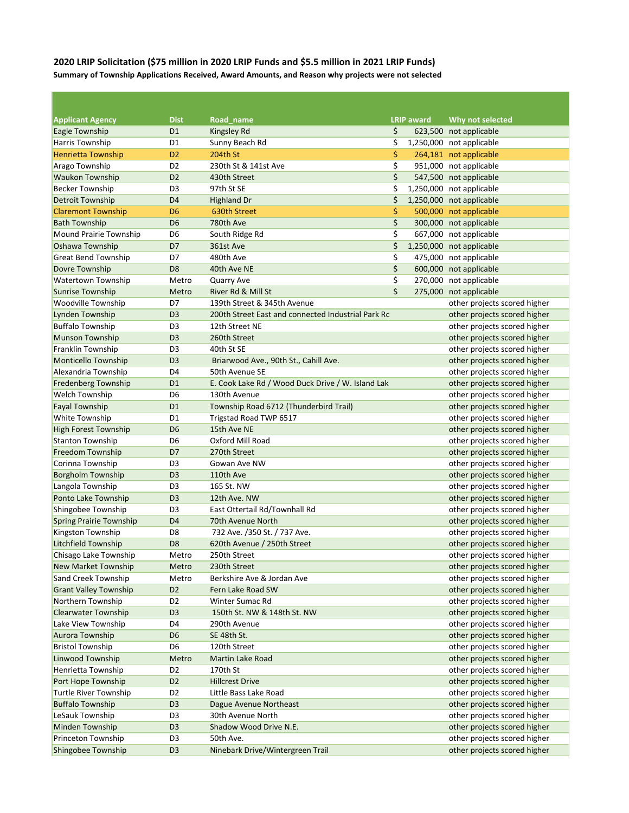## **2020 LRIP Solicitation (\$75 million in 2020 LRIP Funds and \$5.5 million in 2021 LRIP Funds) Summary of Township Applications Received, Award Amounts, and Reason why projects were not selected**

| <b>Applicant Agency</b>        | <b>Dist</b>    | Road name                                          | <b>LRIP</b> award | Why not selected             |
|--------------------------------|----------------|----------------------------------------------------|-------------------|------------------------------|
| Eagle Township                 | D <sub>1</sub> | <b>Kingsley Rd</b>                                 | \$                | 623,500 not applicable       |
| Harris Township                | D <sub>1</sub> | Sunny Beach Rd                                     | \$                | 1,250,000 not applicable     |
| <b>Henrietta Township</b>      | D <sub>2</sub> | <b>204th St</b>                                    | \$                | 264,181 not applicable       |
| Arago Township                 | D <sub>2</sub> | 230th St & 141st Ave                               | \$                | 951,000 not applicable       |
| <b>Waukon Township</b>         | D <sub>2</sub> | 430th Street                                       | \$                | 547,500 not applicable       |
| <b>Becker Township</b>         | D <sub>3</sub> | 97th St SE                                         | \$                | 1,250,000 not applicable     |
| <b>Detroit Township</b>        | D <sub>4</sub> | <b>Highland Dr</b>                                 | \$                | 1,250,000 not applicable     |
| <b>Claremont Township</b>      | D <sub>6</sub> | 630th Street                                       | \$                | 500,000 not applicable       |
| <b>Bath Township</b>           | D <sub>6</sub> | 780th Ave                                          | \$                | 300,000 not applicable       |
| <b>Mound Prairie Township</b>  | D <sub>6</sub> | South Ridge Rd                                     | \$                | 667,000 not applicable       |
| Oshawa Township                | D7             | 361st Ave                                          | \$                | 1,250,000 not applicable     |
| Great Bend Township            | D7             | 480th Ave                                          | \$                | 475,000 not applicable       |
| Dovre Township                 | D <sub>8</sub> | 40th Ave NE                                        | \$                | 600,000 not applicable       |
| Watertown Township             | Metro          | Quarry Ave                                         | \$                | 270,000 not applicable       |
| <b>Sunrise Township</b>        | Metro          | River Rd & Mill St                                 | \$                | 275,000 not applicable       |
| Woodville Township             | D7             | 139th Street & 345th Avenue                        |                   | other projects scored higher |
| Lynden Township                | D <sub>3</sub> | 200th Street East and connected Industrial Park Rc |                   | other projects scored higher |
| <b>Buffalo Township</b>        | D <sub>3</sub> | 12th Street NE                                     |                   | other projects scored higher |
| <b>Munson Township</b>         | D <sub>3</sub> | 260th Street                                       |                   | other projects scored higher |
| Franklin Township              | D <sub>3</sub> | 40th St SE                                         |                   | other projects scored higher |
| <b>Monticello Township</b>     | D <sub>3</sub> | Briarwood Ave., 90th St., Cahill Ave.              |                   | other projects scored higher |
| Alexandria Township            | D <sub>4</sub> | 50th Avenue SE                                     |                   | other projects scored higher |
| <b>Fredenberg Township</b>     | D <sub>1</sub> | E. Cook Lake Rd / Wood Duck Drive / W. Island Lak  |                   | other projects scored higher |
| Welch Township                 | D <sub>6</sub> | 130th Avenue                                       |                   | other projects scored higher |
| <b>Fayal Township</b>          | D <sub>1</sub> | Township Road 6712 (Thunderbird Trail)             |                   | other projects scored higher |
| White Township                 | D1             | Trigstad Road TWP 6517                             |                   | other projects scored higher |
| <b>High Forest Township</b>    | D <sub>6</sub> | 15th Ave NE                                        |                   | other projects scored higher |
| <b>Stanton Township</b>        | D <sub>6</sub> | Oxford Mill Road                                   |                   | other projects scored higher |
| <b>Freedom Township</b>        | D7             | 270th Street                                       |                   | other projects scored higher |
| Corinna Township               | D <sub>3</sub> | Gowan Ave NW                                       |                   | other projects scored higher |
| <b>Borgholm Township</b>       | D <sub>3</sub> | 110th Ave                                          |                   | other projects scored higher |
| Langola Township               | D <sub>3</sub> | 165 St. NW                                         |                   | other projects scored higher |
| Ponto Lake Township            | D <sub>3</sub> | 12th Ave. NW                                       |                   | other projects scored higher |
| Shingobee Township             | D <sub>3</sub> | East Ottertail Rd/Townhall Rd                      |                   | other projects scored higher |
| <b>Spring Prairie Township</b> | D <sub>4</sub> | 70th Avenue North                                  |                   | other projects scored higher |
| Kingston Township              | D8             | 732 Ave. /350 St. / 737 Ave.                       |                   | other projects scored higher |
| <b>Litchfield Township</b>     | D <sub>8</sub> | 620th Avenue / 250th Street                        |                   | other projects scored higher |
| Chisago Lake Township          | Metro          | 250th Street                                       |                   | other projects scored higher |
| <b>New Market Township</b>     | Metro          | 230th Street                                       |                   | other projects scored higher |
| Sand Creek Township            | Metro          | Berkshire Ave & Jordan Ave                         |                   | other projects scored higher |
| <b>Grant Valley Township</b>   | D <sub>2</sub> | Fern Lake Road SW                                  |                   | other projects scored higher |
| Northern Township              | D <sub>2</sub> | Winter Sumac Rd                                    |                   | other projects scored higher |
| <b>Clearwater Township</b>     | D <sub>3</sub> | 150th St. NW & 148th St. NW                        |                   | other projects scored higher |
| Lake View Township             | D4             | 290th Avenue                                       |                   | other projects scored higher |
| <b>Aurora Township</b>         | D <sub>6</sub> | SE 48th St.                                        |                   | other projects scored higher |
| <b>Bristol Township</b>        | D <sub>6</sub> | 120th Street                                       |                   | other projects scored higher |
| <b>Linwood Township</b>        | Metro          | Martin Lake Road                                   |                   | other projects scored higher |
| Henrietta Township             | D <sub>2</sub> | 170th St                                           |                   | other projects scored higher |
| Port Hope Township             | D <sub>2</sub> | <b>Hillcrest Drive</b>                             |                   | other projects scored higher |
| <b>Turtle River Township</b>   | D <sub>2</sub> | Little Bass Lake Road                              |                   | other projects scored higher |
| <b>Buffalo Township</b>        | D <sub>3</sub> | Dague Avenue Northeast                             |                   | other projects scored higher |
| LeSauk Township                | D <sub>3</sub> | 30th Avenue North                                  |                   | other projects scored higher |
| <b>Minden Township</b>         | D <sub>3</sub> | Shadow Wood Drive N.E.                             |                   | other projects scored higher |
| Princeton Township             | D <sub>3</sub> | 50th Ave.                                          |                   | other projects scored higher |
| Shingobee Township             | D <sub>3</sub> | Ninebark Drive/Wintergreen Trail                   |                   | other projects scored higher |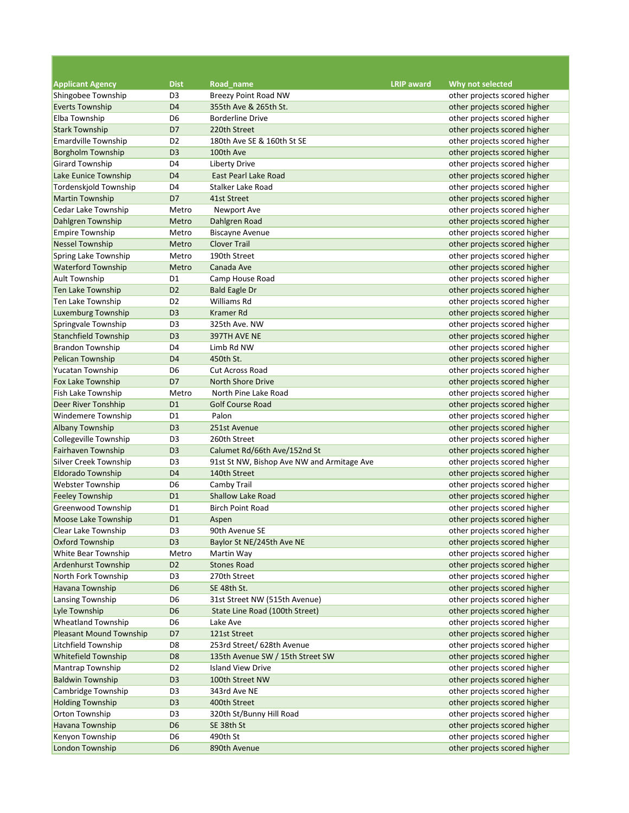| <b>Applicant Agency</b>        | <b>Dist</b>    | Road name                                  | <b>LRIP</b> award | Why not selected             |
|--------------------------------|----------------|--------------------------------------------|-------------------|------------------------------|
| Shingobee Township             | D <sub>3</sub> | Breezy Point Road NW                       |                   | other projects scored higher |
| <b>Everts Township</b>         | D <sub>4</sub> | 355th Ave & 265th St.                      |                   | other projects scored higher |
| Elba Township                  | D <sub>6</sub> | <b>Borderline Drive</b>                    |                   | other projects scored higher |
| <b>Stark Township</b>          | D7             | 220th Street                               |                   | other projects scored higher |
| <b>Emardville Township</b>     | D <sub>2</sub> | 180th Ave SE & 160th St SE                 |                   | other projects scored higher |
| <b>Borgholm Township</b>       | D <sub>3</sub> | 100th Ave                                  |                   | other projects scored higher |
| <b>Girard Township</b>         | D <sub>4</sub> | <b>Liberty Drive</b>                       |                   | other projects scored higher |
| Lake Eunice Township           | D <sub>4</sub> | East Pearl Lake Road                       |                   | other projects scored higher |
| <b>Tordenskjold Township</b>   | D <sub>4</sub> | Stalker Lake Road                          |                   | other projects scored higher |
| <b>Martin Township</b>         | D7             | 41st Street                                |                   | other projects scored higher |
| Cedar Lake Township            | Metro          | Newport Ave                                |                   | other projects scored higher |
| Dahlgren Township              | Metro          | Dahlgren Road                              |                   | other projects scored higher |
| <b>Empire Township</b>         | Metro          | <b>Biscayne Avenue</b>                     |                   | other projects scored higher |
| <b>Nessel Township</b>         | Metro          | <b>Clover Trail</b>                        |                   | other projects scored higher |
| Spring Lake Township           | Metro          | 190th Street                               |                   | other projects scored higher |
| <b>Waterford Township</b>      | Metro          | Canada Ave                                 |                   | other projects scored higher |
| <b>Ault Township</b>           | D <sub>1</sub> | Camp House Road                            |                   | other projects scored higher |
| Ten Lake Township              | D <sub>2</sub> | <b>Bald Eagle Dr</b>                       |                   | other projects scored higher |
| Ten Lake Township              | D <sub>2</sub> | Williams Rd                                |                   | other projects scored higher |
| <b>Luxemburg Township</b>      | D <sub>3</sub> | <b>Kramer Rd</b>                           |                   | other projects scored higher |
| Springvale Township            | D <sub>3</sub> | 325th Ave. NW                              |                   | other projects scored higher |
| <b>Stanchfield Township</b>    | D <sub>3</sub> | 397TH AVE NE                               |                   | other projects scored higher |
| <b>Brandon Township</b>        | D <sub>4</sub> | Limb Rd NW                                 |                   | other projects scored higher |
|                                |                |                                            |                   |                              |
| Pelican Township               | D <sub>4</sub> | 450th St.                                  |                   | other projects scored higher |
| Yucatan Township               | D <sub>6</sub> | <b>Cut Across Road</b>                     |                   | other projects scored higher |
| <b>Fox Lake Township</b>       | D7             | <b>North Shore Drive</b>                   |                   | other projects scored higher |
| Fish Lake Township             | Metro          | North Pine Lake Road                       |                   | other projects scored higher |
| Deer River Tonshhip            | D <sub>1</sub> | <b>Golf Course Road</b>                    |                   | other projects scored higher |
| <b>Windemere Township</b>      | D <sub>1</sub> | Palon                                      |                   | other projects scored higher |
| <b>Albany Township</b>         | D <sub>3</sub> | 251st Avenue                               |                   | other projects scored higher |
| <b>Collegeville Township</b>   | D <sub>3</sub> | 260th Street                               |                   | other projects scored higher |
| Fairhaven Township             | D <sub>3</sub> | Calumet Rd/66th Ave/152nd St               |                   | other projects scored higher |
| Silver Creek Township          | D <sub>3</sub> | 91st St NW, Bishop Ave NW and Armitage Ave |                   | other projects scored higher |
| <b>Eldorado Township</b>       | D <sub>4</sub> | 140th Street                               |                   | other projects scored higher |
| <b>Webster Township</b>        | D <sub>6</sub> | Camby Trail                                |                   | other projects scored higher |
| <b>Feeley Township</b>         | D <sub>1</sub> | <b>Shallow Lake Road</b>                   |                   | other projects scored higher |
| Greenwood Township             | D <sub>1</sub> | <b>Birch Point Road</b>                    |                   | other projects scored higher |
| Moose Lake Township            | D <sub>1</sub> | Aspen                                      |                   | other projects scored higher |
| Clear Lake Township            | D3             | 90th Avenue SE                             |                   | other projects scored higher |
| Oxford Township                | D <sub>3</sub> | Baylor St NE/245th Ave NE                  |                   | other projects scored higher |
| White Bear Township            | Metro          | Martin Way                                 |                   | other projects scored higher |
| <b>Ardenhurst Township</b>     | D <sub>2</sub> | <b>Stones Road</b>                         |                   | other projects scored higher |
| North Fork Township            | D3             | 270th Street                               |                   | other projects scored higher |
| Havana Township                | D <sub>6</sub> | SE 48th St.                                |                   | other projects scored higher |
| Lansing Township               | D <sub>6</sub> | 31st Street NW (515th Avenue)              |                   | other projects scored higher |
| Lyle Township                  | D <sub>6</sub> | State Line Road (100th Street)             |                   | other projects scored higher |
| <b>Wheatland Township</b>      | D <sub>6</sub> | Lake Ave                                   |                   | other projects scored higher |
| <b>Pleasant Mound Township</b> | D7             | 121st Street                               |                   | other projects scored higher |
| Litchfield Township            | D <sub>8</sub> | 253rd Street/ 628th Avenue                 |                   | other projects scored higher |
| Whitefield Township            | D <sub>8</sub> | 135th Avenue SW / 15th Street SW           |                   | other projects scored higher |
| Mantrap Township               | D <sub>2</sub> | <b>Island View Drive</b>                   |                   | other projects scored higher |
| <b>Baldwin Township</b>        | D <sub>3</sub> | 100th Street NW                            |                   | other projects scored higher |
| Cambridge Township             | D <sub>3</sub> | 343rd Ave NE                               |                   | other projects scored higher |
| <b>Holding Township</b>        | D <sub>3</sub> | 400th Street                               |                   | other projects scored higher |
| Orton Township                 | D <sub>3</sub> | 320th St/Bunny Hill Road                   |                   | other projects scored higher |
| <b>Havana Township</b>         | D <sub>6</sub> | SE 38th St                                 |                   | other projects scored higher |
| Kenyon Township                | D <sub>6</sub> | 490th St                                   |                   | other projects scored higher |
| <b>London Township</b>         | D <sub>6</sub> | 890th Avenue                               |                   | other projects scored higher |

<u> 1989 - Johann Barnett, fransk politik (</u>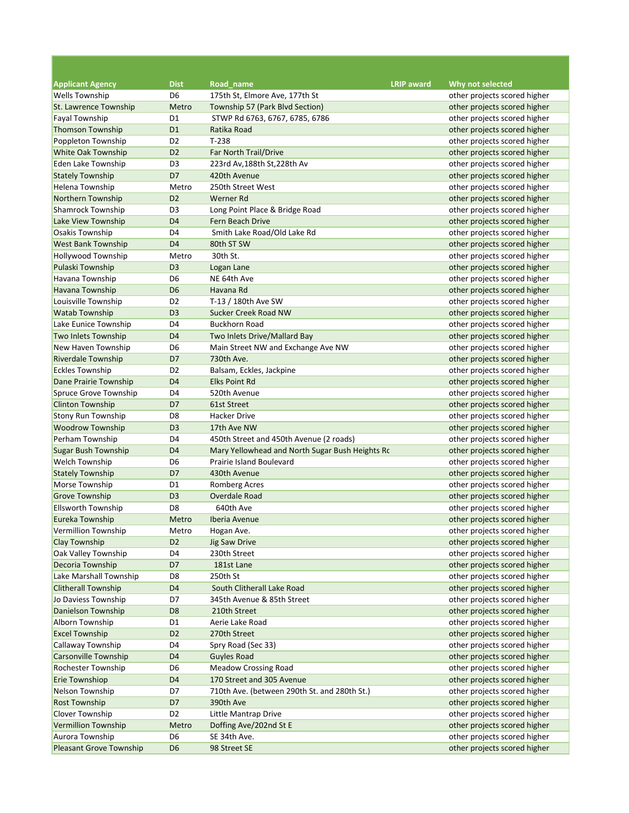| <b>Applicant Agency</b>        | <b>Dist</b>    | Road name                                       | <b>LRIP</b> award | Why not selected             |
|--------------------------------|----------------|-------------------------------------------------|-------------------|------------------------------|
| <b>Wells Township</b>          | D <sub>6</sub> | 175th St, Elmore Ave, 177th St                  |                   | other projects scored higher |
| St. Lawrence Township          | Metro          | Township 57 (Park Blvd Section)                 |                   | other projects scored higher |
| Fayal Township                 | D1             | STWP Rd 6763, 6767, 6785, 6786                  |                   | other projects scored higher |
| <b>Thomson Township</b>        | D <sub>1</sub> | Ratika Road                                     |                   | other projects scored higher |
| Poppleton Township             | D <sub>2</sub> | $T-238$                                         |                   | other projects scored higher |
| White Oak Township             | D <sub>2</sub> | Far North Trail/Drive                           |                   | other projects scored higher |
| Eden Lake Township             | D <sub>3</sub> | 223rd Av,188th St,228th Av                      |                   | other projects scored higher |
| <b>Stately Township</b>        | D7             | 420th Avenue                                    |                   | other projects scored higher |
| Helena Township                | Metro          | 250th Street West                               |                   | other projects scored higher |
| Northern Township              | D <sub>2</sub> | Werner Rd                                       |                   | other projects scored higher |
| Shamrock Township              | D <sub>3</sub> | Long Point Place & Bridge Road                  |                   | other projects scored higher |
| Lake View Township             | D <sub>4</sub> | Fern Beach Drive                                |                   | other projects scored higher |
| Osakis Township                | D <sub>4</sub> | Smith Lake Road/Old Lake Rd                     |                   | other projects scored higher |
| <b>West Bank Township</b>      | D <sub>4</sub> | 80th ST SW                                      |                   | other projects scored higher |
| <b>Hollywood Township</b>      | Metro          | 30th St.                                        |                   | other projects scored higher |
| Pulaski Township               | D <sub>3</sub> | Logan Lane                                      |                   | other projects scored higher |
| Havana Township                | D <sub>6</sub> | NE 64th Ave                                     |                   | other projects scored higher |
| <b>Havana Township</b>         | D <sub>6</sub> | Havana Rd                                       |                   | other projects scored higher |
| Louisville Township            | D <sub>2</sub> | T-13 / 180th Ave SW                             |                   | other projects scored higher |
| <b>Watab Township</b>          | D <sub>3</sub> | Sucker Creek Road NW                            |                   | other projects scored higher |
| Lake Eunice Township           | D4             | <b>Buckhorn Road</b>                            |                   | other projects scored higher |
| Two Inlets Township            | D <sub>4</sub> | Two Inlets Drive/Mallard Bay                    |                   | other projects scored higher |
| New Haven Township             | D6             | Main Street NW and Exchange Ave NW              |                   | other projects scored higher |
| <b>Riverdale Township</b>      | D7             | 730th Ave.                                      |                   | other projects scored higher |
| <b>Eckles Township</b>         | D <sub>2</sub> | Balsam, Eckles, Jackpine                        |                   | other projects scored higher |
| Dane Prairie Township          | D <sub>4</sub> | <b>Elks Point Rd</b>                            |                   | other projects scored higher |
| Spruce Grove Township          | D4             | 520th Avenue                                    |                   | other projects scored higher |
| <b>Clinton Township</b>        | D7             | 61st Street                                     |                   | other projects scored higher |
| <b>Stony Run Township</b>      | D <sub>8</sub> | Hacker Drive                                    |                   | other projects scored higher |
| <b>Woodrow Township</b>        | D <sub>3</sub> | 17th Ave NW                                     |                   | other projects scored higher |
| Perham Township                | D4             | 450th Street and 450th Avenue (2 roads)         |                   | other projects scored higher |
| <b>Sugar Bush Township</b>     | D <sub>4</sub> | Mary Yellowhead and North Sugar Bush Heights Ro |                   | other projects scored higher |
| <b>Welch Township</b>          | D <sub>6</sub> | Prairie Island Boulevard                        |                   | other projects scored higher |
| <b>Stately Township</b>        | D7             | 430th Avenue                                    |                   | other projects scored higher |
| Morse Township                 | D1             | Romberg Acres                                   |                   | other projects scored higher |
| <b>Grove Township</b>          | D <sub>3</sub> | Overdale Road                                   |                   | other projects scored higher |
| <b>Ellsworth Township</b>      | D8             | 640th Ave                                       |                   | other projects scored higher |
| Eureka Township                | Metro          | Iberia Avenue                                   |                   | other projects scored higher |
| Vermillion Township            | Metro          | Hogan Ave.                                      |                   | other projects scored higher |
| Clay Township                  | D <sub>2</sub> | <b>Jig Saw Drive</b>                            |                   | other projects scored higher |
| Oak Valley Township            | D4             | 230th Street                                    |                   | other projects scored higher |
| Decoria Township               | D7             | 181st Lane                                      |                   | other projects scored higher |
| Lake Marshall Township         | D8             | 250th St                                        |                   | other projects scored higher |
| <b>Clitherall Township</b>     | D <sub>4</sub> | South Clitherall Lake Road                      |                   | other projects scored higher |
| Jo Daviess Township            | D7             | 345th Avenue & 85th Street                      |                   | other projects scored higher |
| Danielson Township             | D <sub>8</sub> | 210th Street                                    |                   | other projects scored higher |
| Alborn Township                | D <sub>1</sub> | Aerie Lake Road                                 |                   | other projects scored higher |
| <b>Excel Township</b>          | D <sub>2</sub> | 270th Street                                    |                   | other projects scored higher |
| <b>Callaway Township</b>       | D <sub>4</sub> | Spry Road (Sec 33)                              |                   | other projects scored higher |
| <b>Carsonville Township</b>    | D <sub>4</sub> | <b>Guyles Road</b>                              |                   | other projects scored higher |
| Rochester Township             | D <sub>6</sub> | <b>Meadow Crossing Road</b>                     |                   | other projects scored higher |
| Erie Townshiop                 | D <sub>4</sub> | 170 Street and 305 Avenue                       |                   | other projects scored higher |
| Nelson Township                | D7             | 710th Ave. (between 290th St. and 280th St.)    |                   | other projects scored higher |
| <b>Rost Township</b>           | D7             | 390th Ave                                       |                   | other projects scored higher |
| <b>Clover Township</b>         | D <sub>2</sub> | Little Mantrap Drive                            |                   | other projects scored higher |
| Vermillion Township            | Metro          | Doffing Ave/202nd St E                          |                   | other projects scored higher |
| Aurora Township                | D6             | SE 34th Ave.                                    |                   | other projects scored higher |
| <b>Pleasant Grove Township</b> | D <sub>6</sub> | 98 Street SE                                    |                   | other projects scored higher |

<u> 1989 - Johann Barnett, fransk politik (</u>